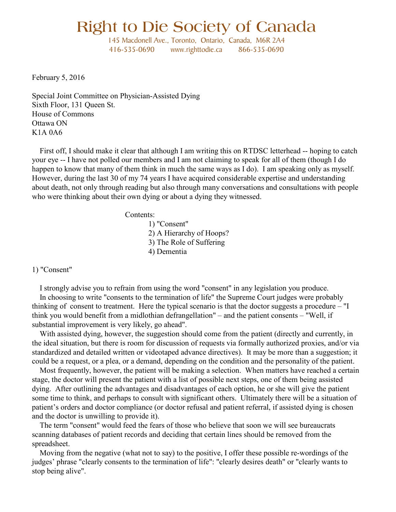# **Right to Die Society of Canada**

145 Macdonell Ave., Toronto, Ontario, Canada, M6R 2A4 416-535-0690 www.righttodie.ca 866-535-0690

February 5, 2016

Special Joint Committee on Physician-Assisted Dying Sixth Floor, 131 Queen St. House of Commons Ottawa ON K1A 0A6

 First off, I should make it clear that although I am writing this on RTDSC letterhead -- hoping to catch your eye -- I have not polled our members and I am not claiming to speak for all of them (though I do happen to know that many of them think in much the same ways as I do). I am speaking only as myself. However, during the last 30 of my 74 years I have acquired considerable expertise and understanding about death, not only through reading but also through many conversations and consultations with people who were thinking about their own dying or about a dying they witnessed.

Contents:

1) "Consent" 2) A Hierarchy of Hoops? 3) The Role of Suffering 4) Dementia

## 1) "Consent"

 I strongly advise you to refrain from using the word "consent" in any legislation you produce. In choosing to write "consents to the termination of life" the Supreme Court judges were probably thinking of consent to treatment. Here the typical scenario is that the doctor suggests a procedure – "I think you would benefit from a midlothian defrangellation" – and the patient consents – "Well, if substantial improvement is very likely, go ahead".

With assisted dying, however, the suggestion should come from the patient (directly and currently, in the ideal situation, but there is room for discussion of requests via formally authorized proxies, and/or via standardized and detailed written or videotaped advance directives). It may be more than a suggestion; it could be a request, or a plea, or a demand, depending on the condition and the personality of the patient.

 Most frequently, however, the patient will be making a selection. When matters have reached a certain stage, the doctor will present the patient with a list of possible next steps, one of them being assisted dying. After outlining the advantages and disadvantages of each option, he or she will give the patient some time to think, and perhaps to consult with significant others. Ultimately there will be a situation of patient's orders and doctor compliance (or doctor refusal and patient referral, if assisted dying is chosen and the doctor is unwilling to provide it).

 The term "consent" would feed the fears of those who believe that soon we will see bureaucrats scanning databases of patient records and deciding that certain lines should be removed from the spreadsheet.

 Moving from the negative (what not to say) to the positive, I offer these possible re-wordings of the judges' phrase "clearly consents to the termination of life": "clearly desires death" or "clearly wants to stop being alive".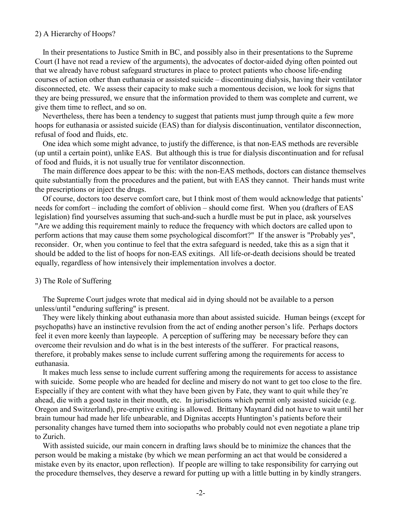# 2) A Hierarchy of Hoops?

 In their presentations to Justice Smith in BC, and possibly also in their presentations to the Supreme Court (I have not read a review of the arguments), the advocates of doctor-aided dying often pointed out that we already have robust safeguard structures in place to protect patients who choose life-ending courses of action other than euthanasia or assisted suicide – discontinuing dialysis, having their ventilator disconnected, etc. We assess their capacity to make such a momentous decision, we look for signs that they are being pressured, we ensure that the information provided to them was complete and current, we give them time to reflect, and so on.

 Nevertheless, there has been a tendency to suggest that patients must jump through quite a few more hoops for euthanasia or assisted suicide (EAS) than for dialysis discontinuation, ventilator disconnection, refusal of food and fluids, etc.

 One idea which some might advance, to justify the difference, is that non-EAS methods are reversible (up until a certain point), unlike EAS. But although this is true for dialysis discontinuation and for refusal of food and fluids, it is not usually true for ventilator disconnection.

 The main difference does appear to be this: with the non-EAS methods, doctors can distance themselves quite substantially from the procedures and the patient, but with EAS they cannot. Their hands must write the prescriptions or inject the drugs.

 Of course, doctors too deserve comfort care, but I think most of them would acknowledge that patients' needs for comfort – including the comfort of oblivion – should come first. When you (drafters of EAS legislation) find yourselves assuming that such-and-such a hurdle must be put in place, ask yourselves "Are we adding this requirement mainly to reduce the frequency with which doctors are called upon to perform actions that may cause them some psychological discomfort?" If the answer is "Probably yes", reconsider. Or, when you continue to feel that the extra safeguard is needed, take this as a sign that it should be added to the list of hoops for non-EAS exitings. All life-or-death decisions should be treated equally, regardless of how intensively their implementation involves a doctor.

#### 3) The Role of Suffering

 The Supreme Court judges wrote that medical aid in dying should not be available to a person unless/until "enduring suffering" is present.

 They were likely thinking about euthanasia more than about assisted suicide. Human beings (except for psychopaths) have an instinctive revulsion from the act of ending another person's life. Perhaps doctors feel it even more keenly than laypeople. A perception of suffering may be necessary before they can overcome their revulsion and do what is in the best interests of the sufferer. For practical reasons, therefore, it probably makes sense to include current suffering among the requirements for access to euthanasia.

 It makes much less sense to include current suffering among the requirements for access to assistance with suicide. Some people who are headed for decline and misery do not want to get too close to the fire. Especially if they are content with what they have been given by Fate, they want to quit while they're ahead, die with a good taste in their mouth, etc. In jurisdictions which permit only assisted suicide (e.g. Oregon and Switzerland), pre-emptive exiting is allowed. Brittany Maynard did not have to wait until her brain tumour had made her life unbearable, and Dignitas accepts Huntington's patients before their personality changes have turned them into sociopaths who probably could not even negotiate a plane trip to Zurich.

 With assisted suicide, our main concern in drafting laws should be to minimize the chances that the person would be making a mistake (by which we mean performing an act that would be considered a mistake even by its enactor, upon reflection). If people are willing to take responsibility for carrying out the procedure themselves, they deserve a reward for putting up with a little butting in by kindly strangers.